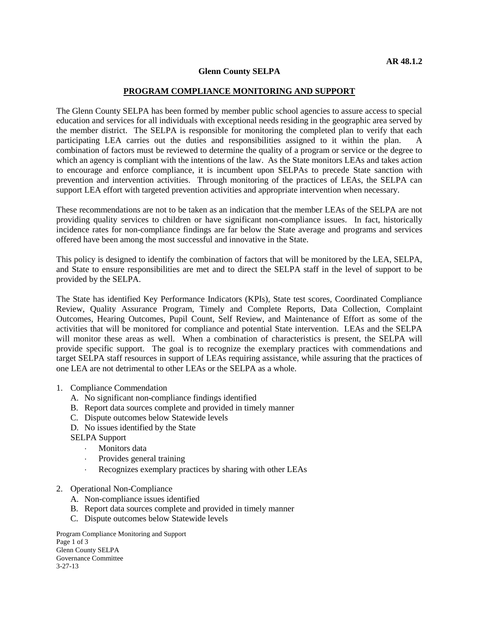## **Glenn County SELPA**

## **PROGRAM COMPLIANCE MONITORING AND SUPPORT**

The Glenn County SELPA has been formed by member public school agencies to assure access to special education and services for all individuals with exceptional needs residing in the geographic area served by the member district. The SELPA is responsible for monitoring the completed plan to verify that each participating LEA carries out the duties and responsibilities assigned to it within the plan. A combination of factors must be reviewed to determine the quality of a program or service or the degree to which an agency is compliant with the intentions of the law. As the State monitors LEAs and takes action to encourage and enforce compliance, it is incumbent upon SELPAs to precede State sanction with prevention and intervention activities. Through monitoring of the practices of LEAs, the SELPA can support LEA effort with targeted prevention activities and appropriate intervention when necessary.

These recommendations are not to be taken as an indication that the member LEAs of the SELPA are not providing quality services to children or have significant non-compliance issues. In fact, historically incidence rates for non-compliance findings are far below the State average and programs and services offered have been among the most successful and innovative in the State.

This policy is designed to identify the combination of factors that will be monitored by the LEA, SELPA, and State to ensure responsibilities are met and to direct the SELPA staff in the level of support to be provided by the SELPA.

The State has identified Key Performance Indicators (KPIs), State test scores, Coordinated Compliance Review, Quality Assurance Program, Timely and Complete Reports, Data Collection, Complaint Outcomes, Hearing Outcomes, Pupil Count, Self Review, and Maintenance of Effort as some of the activities that will be monitored for compliance and potential State intervention. LEAs and the SELPA will monitor these areas as well. When a combination of characteristics is present, the SELPA will provide specific support. The goal is to recognize the exemplary practices with commendations and target SELPA staff resources in support of LEAs requiring assistance, while assuring that the practices of one LEA are not detrimental to other LEAs or the SELPA as a whole.

- 1. Compliance Commendation
	- A. No significant non-compliance findings identified
	- B. Report data sources complete and provided in timely manner
	- C. Dispute outcomes below Statewide levels
	- D. No issues identified by the State

SELPA Support

- Monitors data
- Provides general training
- Recognizes exemplary practices by sharing with other LEAs
- 2. Operational Non-Compliance
	- A. Non-compliance issues identified
	- B. Report data sources complete and provided in timely manner
	- C. Dispute outcomes below Statewide levels

Program Compliance Monitoring and Support Page 1 of 3 Glenn County SELPA Governance Committee 3-27-13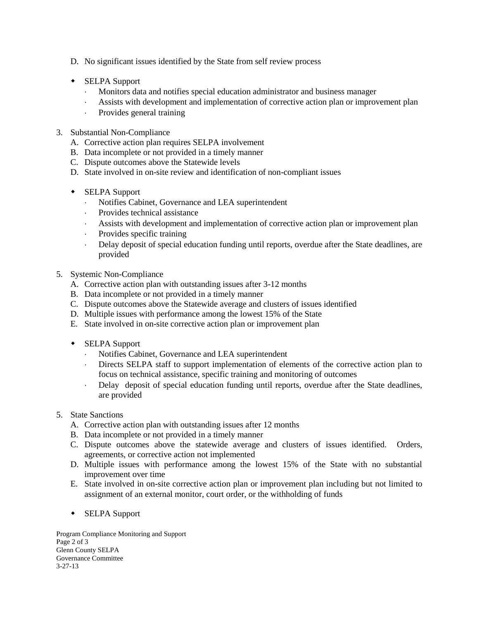- D. No significant issues identified by the State from self review process
- SELPA Support
	- Monitors data and notifies special education administrator and business manager
	- Assists with development and implementation of corrective action plan or improvement plan
	- Provides general training
- 3. Substantial Non-Compliance
	- A. Corrective action plan requires SELPA involvement
	- B. Data incomplete or not provided in a timely manner
	- C. Dispute outcomes above the Statewide levels
	- D. State involved in on-site review and identification of non-compliant issues
	- SELPA Support
		- Notifies Cabinet, Governance and LEA superintendent
		- Provides technical assistance
		- Assists with development and implementation of corrective action plan or improvement plan
		- Provides specific training
		- Delay deposit of special education funding until reports, overdue after the State deadlines, are provided
- 5. Systemic Non-Compliance
	- A. Corrective action plan with outstanding issues after 3-12 months
	- B. Data incomplete or not provided in a timely manner
	- C. Dispute outcomes above the Statewide average and clusters of issues identified
	- D. Multiple issues with performance among the lowest 15% of the State
	- E. State involved in on-site corrective action plan or improvement plan
	- SELPA Support
		- Notifies Cabinet, Governance and LEA superintendent
		- Directs SELPA staff to support implementation of elements of the corrective action plan to focus on technical assistance, specific training and monitoring of outcomes
		- Delay deposit of special education funding until reports, overdue after the State deadlines, are provided
- 5. State Sanctions
	- A. Corrective action plan with outstanding issues after 12 months
	- B. Data incomplete or not provided in a timely manner
	- C. Dispute outcomes above the statewide average and clusters of issues identified. Orders, agreements, or corrective action not implemented
	- D. Multiple issues with performance among the lowest 15% of the State with no substantial improvement over time
	- E. State involved in on-site corrective action plan or improvement plan including but not limited to assignment of an external monitor, court order, or the withholding of funds
	- SELPA Support

Program Compliance Monitoring and Support Page 2 of 3 Glenn County SELPA Governance Committee 3-27-13